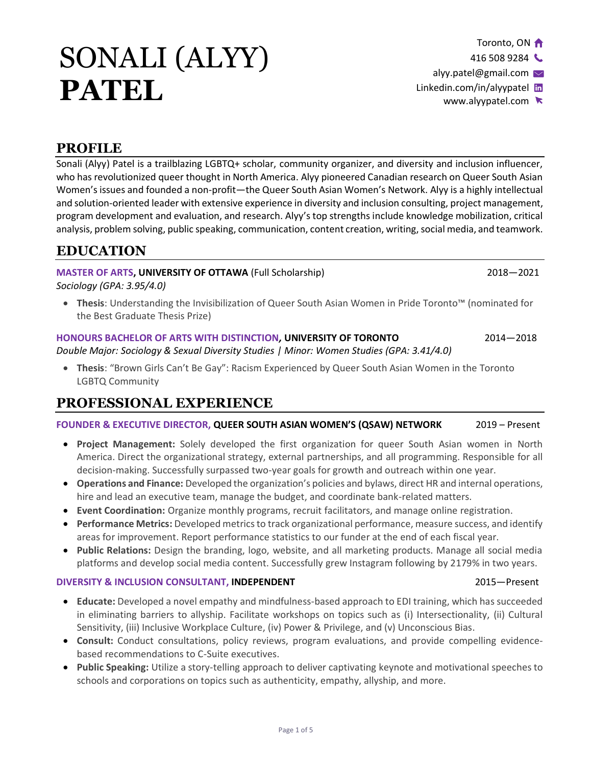# SONALI (ALYY) **PATEL**

# **PROFILE**

Sonali (Alyy) Patel is a trailblazing LGBTQ+ scholar, community organizer, and diversity and inclusion influencer, who has revolutionized queer thought in North America. Alyy pioneered Canadian research on Queer South Asian Women's issues and founded a non-profit—the Queer South Asian Women's Network. Alyy is a highly intellectual and solution-oriented leader with extensive experience in diversity and inclusion consulting, project management, program development and evaluation, and research. Alyy's top strengths include knowledge mobilization, critical analysis, problem solving, public speaking, communication, content creation, writing, social media, and teamwork.

# **EDUCATION**

### **MASTER OF ARTS, UNIVERSITY OF OTTAWA** (Full Scholarship) 2018—2021 2018—2021

*Sociology (GPA: 3.95/4.0)*

• **Thesis**: Understanding the Invisibilization of Queer South Asian Women in Pride Toronto™ (nominated for the Best Graduate Thesis Prize)

# **HONOURS BACHELOR OF ARTS WITH DISTINCTION***,* **UNIVERSITY OF TORONTO** 2014—2018

*Double Major: Sociology & Sexual Diversity Studies | Minor: Women Studies (GPA: 3.41/4.0)*

• **Thesis**: "Brown Girls Can't Be Gay": Racism Experienced by Queer South Asian Women in the Toronto LGBTQ Community

# **PROFESSIONAL EXPERIENCE**

### **FOUNDER & EXECUTIVE DIRECTOR, QUEER SOUTH ASIAN WOMEN'S (QSAW) NETWORK** 2019 – Present

- **Project Management:** Solely developed the first organization for queer South Asian women in North America. Direct the organizational strategy, external partnerships, and all programming. Responsible for all decision-making. Successfully surpassed two-year goals for growth and outreach within one year.
- **Operations and Finance:** Developed the organization's policies and bylaws, direct HR and internal operations, hire and lead an executive team, manage the budget, and coordinate bank-related matters.
- **Event Coordination:** Organize monthly programs, recruit facilitators, and manage online registration.
- **Performance Metrics:** Developed metrics to track organizational performance, measure success, and identify areas for improvement. Report performance statistics to our funder at the end of each fiscal year.
- **Public Relations:** Design the branding, logo, website, and all marketing products. Manage all social media platforms and develop social media content. Successfully grew Instagram following by 2179% in two years.

### **DIVERSITY & INCLUSION CONSULTANT, INDEPENDENT** 2015—Present

- **Educate:** Developed a novel empathy and mindfulness-based approach to EDI training, which has succeeded in eliminating barriers to allyship. Facilitate workshops on topics such as (i) Intersectionality, (ii) Cultural Sensitivity, (iii) Inclusive Workplace Culture, (iv) Power & Privilege, and (v) Unconscious Bias.
- **Consult:** Conduct consultations, policy reviews, program evaluations, and provide compelling evidencebased recommendations to C-Suite executives.
- **Public Speaking:** Utilize a story-telling approach to deliver captivating keynote and motivational speeches to schools and corporations on topics such as authenticity, empathy, allyship, and more.

Toronto, ON

416 508 9284

alyy.patel@gmail.com  $\vee$ [Linkedin.com/in/alyypatel](http://linkedin.com/in/alyypatel) in

[www.alyypatel.com](http://www.alyypatel.com/)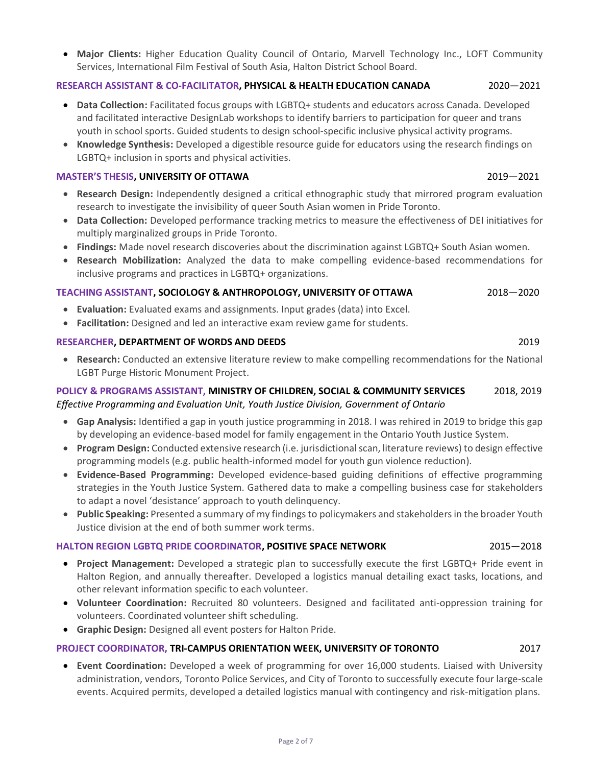• **Major Clients:** Higher Education Quality Council of Ontario, Marvell Technology Inc., LOFT Community Services, International Film Festival of South Asia, Halton District School Board.

#### **RESEARCH ASSISTANT & CO-FACILITATOR, PHYSICAL & HEALTH EDUCATION CANADA** 2020—2021

- **Data Collection:** Facilitated focus groups with LGBTQ+ students and educators across Canada. Developed and facilitated interactive DesignLab workshops to identify barriers to participation for queer and trans youth in school sports. Guided students to design school-specific inclusive physical activity programs.
- **Knowledge Synthesis:** Developed a digestible resource guide for educators using the research findings on LGBTQ+ inclusion in sports and physical activities.

#### **MASTER'S THESIS, UNIVERSITY OF OTTAWA** 2019—2021

- **Research Design:** Independently designed a critical ethnographic study that mirrored program evaluation research to investigate the invisibility of queer South Asian women in Pride Toronto.
- **Data Collection:** Developed performance tracking metrics to measure the effectiveness of DEI initiatives for multiply marginalized groups in Pride Toronto.
- **Findings:** Made novel research discoveries about the discrimination against LGBTQ+ South Asian women.
- **Research Mobilization:** Analyzed the data to make compelling evidence-based recommendations for inclusive programs and practices in LGBTQ+ organizations.

#### **TEACHING ASSISTANT, SOCIOLOGY & ANTHROPOLOGY, UNIVERSITY OF OTTAWA** 2018—2020

- **Evaluation:** Evaluated exams and assignments. Input grades (data) into Excel.
- **Facilitation:** Designed and led an interactive exam review game for students.

#### **RESEARCHER, DEPARTMENT OF WORDS AND DEEDS** 2019

• **Research:** Conducted an extensive literature review to make compelling recommendations for the National LGBT Purge Historic Monument Project.

#### **POLICY & PROGRAMS ASSISTANT, MINISTRY OF CHILDREN, SOCIAL & COMMUNITY SERVICES** 2018, 2019 *Effective Programming and Evaluation Unit, Youth Justice Division, Government of Ontario*

- **Gap Analysis:** Identified a gap in youth justice programming in 2018. I was rehired in 2019 to bridge this gap by developing an evidence-based model for family engagement in the Ontario Youth Justice System.
- **Program Design:** Conducted extensive research (i.e. jurisdictional scan, literature reviews) to design effective programming models (e.g. public health-informed model for youth gun violence reduction).
- **Evidence-Based Programming:** Developed evidence-based guiding definitions of effective programming strategies in the Youth Justice System. Gathered data to make a compelling business case for stakeholders to adapt a novel 'desistance' approach to youth delinquency.
- **Public Speaking:** Presented a summary of my findingsto policymakers and stakeholders in the broader Youth Justice division at the end of both summer work terms.

#### **HALTON REGION LGBTQ PRIDE COORDINATOR, POSITIVE SPACE NETWORK** 2015—2018

- **Project Management:** Developed a strategic plan to successfully execute the first LGBTQ+ Pride event in Halton Region, and annually thereafter. Developed a logistics manual detailing exact tasks, locations, and other relevant information specific to each volunteer.
- **Volunteer Coordination:** Recruited 80 volunteers. Designed and facilitated anti-oppression training for volunteers. Coordinated volunteer shift scheduling.
- **Graphic Design:** Designed all event posters for Halton Pride.

#### **PROJECT COORDINATOR, TRI-CAMPUS ORIENTATION WEEK, UNIVERSITY OF TORONTO** 2017

• **Event Coordination:** Developed a week of programming for over 16,000 students. Liaised with University administration, vendors, Toronto Police Services, and City of Toronto to successfully execute four large-scale events. Acquired permits, developed a detailed logistics manual with contingency and risk-mitigation plans.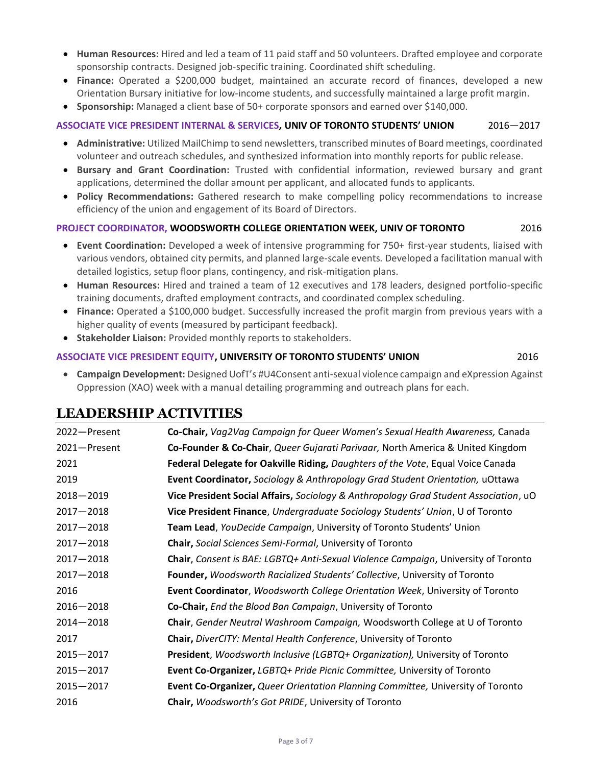- **Human Resources:** Hired and led a team of 11 paid staff and 50 volunteers. Drafted employee and corporate sponsorship contracts. Designed job-specific training. Coordinated shift scheduling.
- **Finance:** Operated a \$200,000 budget, maintained an accurate record of finances, developed a new Orientation Bursary initiative for low-income students, and successfully maintained a large profit margin.
- **Sponsorship:** Managed a client base of 50+ corporate sponsors and earned over \$140,000.

#### **ASSOCIATE VICE PRESIDENT INTERNAL & SERVICES***,* **UNIV OF TORONTO STUDENTS' UNION** 2016—2017

- **Administrative:** Utilized MailChimp to send newsletters, transcribed minutes of Board meetings, coordinated volunteer and outreach schedules, and synthesized information into monthly reports for public release.
- **Bursary and Grant Coordination:** Trusted with confidential information, reviewed bursary and grant applications, determined the dollar amount per applicant, and allocated funds to applicants.
- **Policy Recommendations:** Gathered research to make compelling policy recommendations to increase efficiency of the union and engagement of its Board of Directors.

#### **PROJECT COORDINATOR, WOODSWORTH COLLEGE ORIENTATION WEEK, UNIV OF TORONTO** 2016

- **Event Coordination:** Developed a week of intensive programming for 750+ first-year students, liaised with various vendors, obtained city permits, and planned large-scale events*.* Developed a facilitation manual with detailed logistics, setup floor plans, contingency, and risk-mitigation plans.
- **Human Resources:** Hired and trained a team of 12 executives and 178 leaders, designed portfolio-specific training documents, drafted employment contracts, and coordinated complex scheduling.
- **Finance:** Operated a \$100,000 budget. Successfully increased the profit margin from previous years with a higher quality of events (measured by participant feedback).
- **Stakeholder Liaison:** Provided monthly reports to stakeholders.

#### **ASSOCIATE VICE PRESIDENT EQUITY, UNIVERSITY OF TORONTO STUDENTS' UNION** 2016

• **Campaign Development:** Designed UofT's #U4Consent anti-sexual violence campaign and eXpression Against Oppression (XAO) week with a manual detailing programming and outreach plans for each.

# **LEADERSHIP ACTIVITIES**

| 2022-Present  | Co-Chair, Vag2Vag Campaign for Queer Women's Sexual Health Awareness, Canada             |
|---------------|------------------------------------------------------------------------------------------|
| 2021-Present  | Co-Founder & Co-Chair, Queer Gujarati Parivaar, North America & United Kingdom           |
| 2021          | Federal Delegate for Oakville Riding, Daughters of the Vote, Equal Voice Canada          |
| 2019          | <b>Event Coordinator, Sociology &amp; Anthropology Grad Student Orientation, uOttawa</b> |
| $2018 - 2019$ | Vice President Social Affairs, Sociology & Anthropology Grad Student Association, uO     |
| $2017 - 2018$ | Vice President Finance, Undergraduate Sociology Students' Union, U of Toronto            |
| $2017 - 2018$ | Team Lead, YouDecide Campaign, University of Toronto Students' Union                     |
| $2017 - 2018$ | <b>Chair, Social Sciences Semi-Formal, University of Toronto</b>                         |
| $2017 - 2018$ | Chair, Consent is BAE: LGBTQ+ Anti-Sexual Violence Campaign, University of Toronto       |
| $2017 - 2018$ | Founder, Woodsworth Racialized Students' Collective, University of Toronto               |
| 2016          | Event Coordinator, Woodsworth College Orientation Week, University of Toronto            |
| $2016 - 2018$ | Co-Chair, End the Blood Ban Campaign, University of Toronto                              |
| $2014 - 2018$ | Chair, Gender Neutral Washroom Campaign, Woodsworth College at U of Toronto              |
| 2017          | <b>Chair, DiverCITY: Mental Health Conference, University of Toronto</b>                 |
| $2015 - 2017$ | President, Woodsworth Inclusive (LGBTQ+ Organization), University of Toronto             |
| $2015 - 2017$ | Event Co-Organizer, LGBTQ+ Pride Picnic Committee, University of Toronto                 |
| $2015 - 2017$ | Event Co-Organizer, Queer Orientation Planning Committee, University of Toronto          |
| 2016          | Chair, Woodsworth's Got PRIDE, University of Toronto                                     |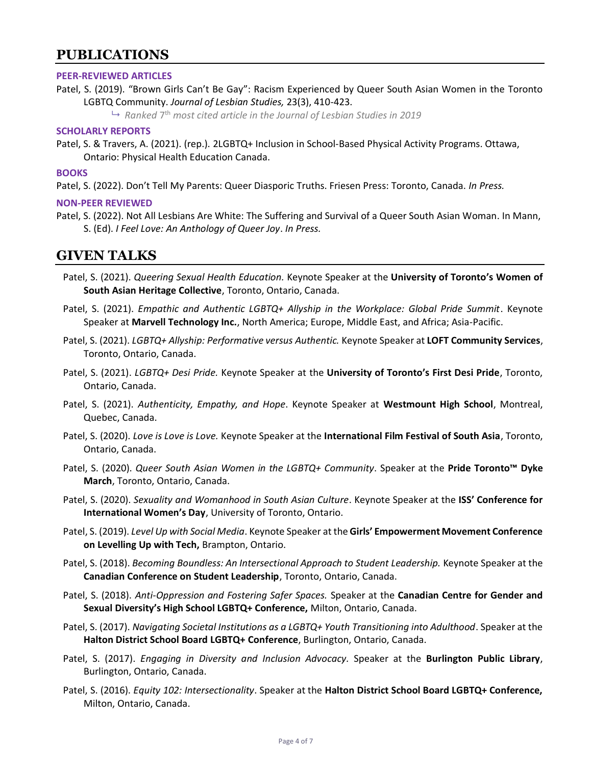# **PUBLICATIONS**

#### **PEER-REVIEWED ARTICLES**

Patel, S. (2019). "Brown Girls Can't Be Gay": Racism Experienced by Queer South Asian Women in the Toronto LGBTQ Community. *Journal of Lesbian Studies,* 23(3), 410-423.

 $\mapsto$  Ranked 7<sup>th</sup> most cited article in the Journal of Lesbian Studies in 2019

#### **SCHOLARLY REPORTS**

Patel, S. & Travers, A. (2021). (rep.). 2LGBTQ+ Inclusion in School-Based Physical Activity Programs. Ottawa, Ontario: Physical Health Education Canada.

#### **BOOKS**

Patel, S. (2022). Don't Tell My Parents: Queer Diasporic Truths. Friesen Press: Toronto, Canada. *In Press.*

#### **NON-PEER REVIEWED**

Patel, S. (2022). Not All Lesbians Are White: The Suffering and Survival of a Queer South Asian Woman. In Mann, S. (Ed). *I Feel Love: An Anthology of Queer Joy*. *In Press.*

# **GIVEN TALKS**

- Patel, S. (2021). *Queering Sexual Health Education.* Keynote Speaker at the **University of Toronto's Women of South Asian Heritage Collective**, Toronto, Ontario, Canada.
- Patel, S. (2021). *Empathic and Authentic LGBTQ+ Allyship in the Workplace: Global Pride Summit*. Keynote Speaker at **Marvell Technology Inc.**, North America; Europe, Middle East, and Africa; Asia-Pacific.
- Patel, S. (2021). *LGBTQ+ Allyship: Performative versus Authentic.* Keynote Speaker at **LOFT Community Services**, Toronto, Ontario, Canada.
- Patel, S. (2021). *LGBTQ+ Desi Pride.* Keynote Speaker at the **University of Toronto's First Desi Pride**, Toronto, Ontario, Canada.
- Patel, S. (2021). *Authenticity, Empathy, and Hope*. Keynote Speaker at **Westmount High School**, Montreal, Quebec, Canada.
- Patel, S. (2020). *Love is Love is Love.* Keynote Speaker at the **International Film Festival of South Asia**, Toronto, Ontario, Canada.
- Patel, S. (2020). *Queer South Asian Women in the LGBTQ+ Community*. Speaker at the **Pride Toronto™ Dyke March**, Toronto, Ontario, Canada.
- Patel, S. (2020). *Sexuality and Womanhood in South Asian Culture*. Keynote Speaker at the **ISS' Conference for International Women's Day**, University of Toronto, Ontario.
- Patel, S. (2019). *Level Up with Social Media*. Keynote Speaker at the **Girls' Empowerment Movement Conference on Levelling Up with Tech,** Brampton, Ontario.
- Patel, S. (2018). *Becoming Boundless: An Intersectional Approach to Student Leadership.* Keynote Speaker at the **Canadian Conference on Student Leadership**, Toronto, Ontario, Canada.
- Patel, S. (2018). *Anti-Oppression and Fostering Safer Spaces.* Speaker at the **Canadian Centre for Gender and Sexual Diversity's High School LGBTQ+ Conference,** Milton, Ontario, Canada.
- Patel, S. (2017). *Navigating Societal Institutions as a LGBTQ+ Youth Transitioning into Adulthood*. Speaker at the **Halton District School Board LGBTQ+ Conference**, Burlington, Ontario, Canada.
- Patel, S. (2017). *Engaging in Diversity and Inclusion Advocacy.* Speaker at the **Burlington Public Library**, Burlington, Ontario, Canada.
- Patel, S. (2016). *Equity 102: Intersectionality*. Speaker at the **Halton District School Board LGBTQ+ Conference,**  Milton, Ontario, Canada.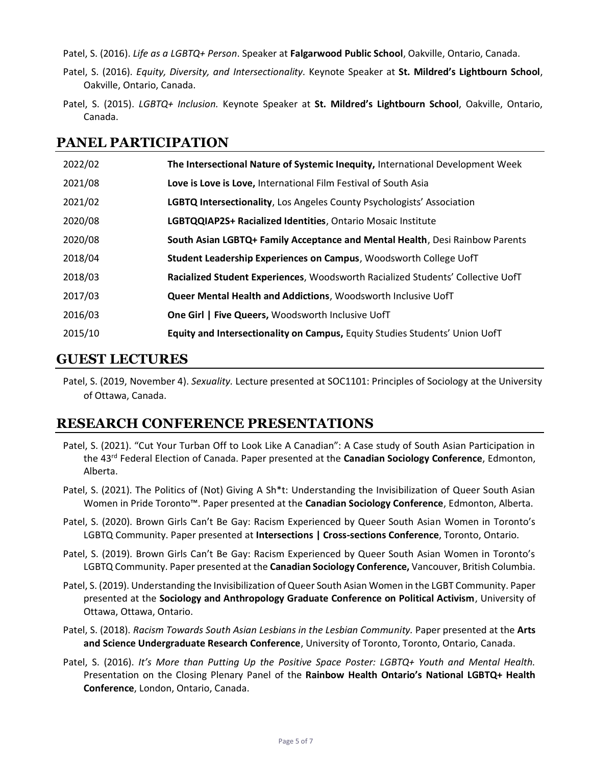Patel, S. (2016). *Life as a LGBTQ+ Person*. Speaker at **Falgarwood Public School**, Oakville, Ontario, Canada.

- Patel, S. (2016). *Equity, Diversity, and Intersectionality.* Keynote Speaker at **St. Mildred's Lightbourn School**, Oakville, Ontario, Canada.
- Patel, S. (2015). *LGBTQ+ Inclusion.* Keynote Speaker at **St. Mildred's Lightbourn School**, Oakville, Ontario, Canada.

# **PANEL PARTICIPATION**

| 2022/02 | The Intersectional Nature of Systemic Inequity, International Development Week  |
|---------|---------------------------------------------------------------------------------|
| 2021/08 | Love is Love is Love, International Film Festival of South Asia                 |
| 2021/02 | LGBTQ Intersectionality, Los Angeles County Psychologists' Association          |
| 2020/08 | LGBTQQIAP2S+ Racialized Identities, Ontario Mosaic Institute                    |
| 2020/08 | South Asian LGBTQ+ Family Acceptance and Mental Health, Desi Rainbow Parents    |
| 2018/04 | Student Leadership Experiences on Campus, Woodsworth College UofT               |
| 2018/03 | Racialized Student Experiences, Woodsworth Racialized Students' Collective UofT |
| 2017/03 | Queer Mental Health and Addictions, Woodsworth Inclusive UofT                   |
| 2016/03 | One Girl   Five Queers, Woodsworth Inclusive UofT                               |
| 2015/10 | Equity and Intersectionality on Campus, Equity Studies Students' Union UofT     |

## **GUEST LECTURES**

Patel, S. (2019, November 4). *Sexuality.* Lecture presented at SOC1101: Principles of Sociology at the University of Ottawa, Canada.

# **RESEARCH CONFERENCE PRESENTATIONS**

- Patel, S. (2021). "Cut Your Turban Off to Look Like A Canadian": A Case study of South Asian Participation in the 43rd Federal Election of Canada. Paper presented at the **Canadian Sociology Conference**, Edmonton, Alberta.
- Patel, S. (2021). The Politics of (Not) Giving A Sh\*t: Understanding the Invisibilization of Queer South Asian Women in Pride Toronto™. Paper presented at the **Canadian Sociology Conference**, Edmonton, Alberta.
- Patel, S. (2020). Brown Girls Can't Be Gay: Racism Experienced by Queer South Asian Women in Toronto's LGBTQ Community. Paper presented at **Intersections | Cross-sections Conference**, Toronto, Ontario.
- Patel, S. (2019). Brown Girls Can't Be Gay: Racism Experienced by Queer South Asian Women in Toronto's LGBTQ Community. Paper presented at the **Canadian Sociology Conference,** Vancouver, British Columbia.
- Patel, S. (2019). Understanding the Invisibilization of Queer South Asian Women in the LGBT Community. Paper presented at the **Sociology and Anthropology Graduate Conference on Political Activism**, University of Ottawa, Ottawa, Ontario.
- Patel, S. (2018). *Racism Towards South Asian Lesbians in the Lesbian Community.* Paper presented at the **Arts and Science Undergraduate Research Conference**, University of Toronto, Toronto, Ontario, Canada.
- Patel, S. (2016). *It's More than Putting Up the Positive Space Poster: LGBTQ+ Youth and Mental Health.*  Presentation on the Closing Plenary Panel of the **Rainbow Health Ontario's National LGBTQ+ Health Conference**, London, Ontario, Canada.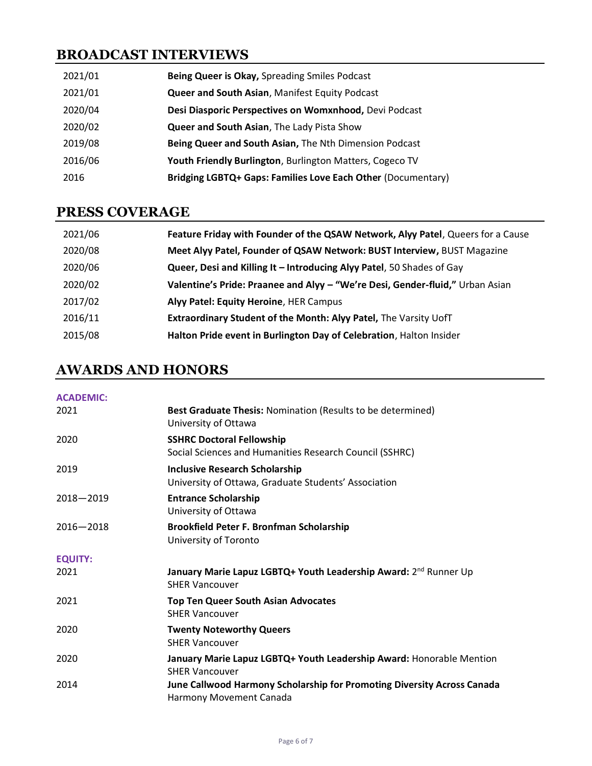# **BROADCAST INTERVIEWS**

| 2021/01 | Being Queer is Okay, Spreading Smiles Podcast                |
|---------|--------------------------------------------------------------|
| 2021/01 | Queer and South Asian, Manifest Equity Podcast               |
| 2020/04 | Desi Diasporic Perspectives on Womxnhood, Devi Podcast       |
| 2020/02 | Queer and South Asian, The Lady Pista Show                   |
| 2019/08 | Being Queer and South Asian, The Nth Dimension Podcast       |
| 2016/06 | Youth Friendly Burlington, Burlington Matters, Cogeco TV     |
| 2016    | Bridging LGBTQ+ Gaps: Families Love Each Other (Documentary) |

# **PRESS COVERAGE**

| 2021/06 | Feature Friday with Founder of the QSAW Network, Alyy Patel, Queers for a Cause |
|---------|---------------------------------------------------------------------------------|
| 2020/08 | Meet Alyy Patel, Founder of QSAW Network: BUST Interview, BUST Magazine         |
| 2020/06 | Queer, Desi and Killing It - Introducing Alyy Patel, 50 Shades of Gay           |
| 2020/02 | Valentine's Pride: Praanee and Alyy - "We're Desi, Gender-fluid," Urban Asian   |
| 2017/02 | Alyy Patel: Equity Heroine, HER Campus                                          |
| 2016/11 | Extraordinary Student of the Month: Alyy Patel, The Varsity UofT                |
| 2015/08 | Halton Pride event in Burlington Day of Celebration, Halton Insider             |

# **AWARDS AND HONORS**

| <b>ACADEMIC:</b> |                                                                                                       |
|------------------|-------------------------------------------------------------------------------------------------------|
| 2021             | Best Graduate Thesis: Nomination (Results to be determined)<br>University of Ottawa                   |
| 2020             | <b>SSHRC Doctoral Fellowship</b><br>Social Sciences and Humanities Research Council (SSHRC)           |
| 2019             | <b>Inclusive Research Scholarship</b><br>University of Ottawa, Graduate Students' Association         |
| $2018 - 2019$    | <b>Entrance Scholarship</b><br>University of Ottawa                                                   |
| $2016 - 2018$    | Brookfield Peter F. Bronfman Scholarship<br>University of Toronto                                     |
| <b>EQUITY:</b>   |                                                                                                       |
| 2021             | January Marie Lapuz LGBTQ+ Youth Leadership Award: 2 <sup>nd</sup> Runner Up<br><b>SHER Vancouver</b> |
| 2021             | <b>Top Ten Queer South Asian Advocates</b><br><b>SHER Vancouver</b>                                   |
| 2020             | <b>Twenty Noteworthy Queers</b><br><b>SHER Vancouver</b>                                              |
| 2020             | January Marie Lapuz LGBTQ+ Youth Leadership Award: Honorable Mention<br><b>SHER Vancouver</b>         |
| 2014             | June Callwood Harmony Scholarship for Promoting Diversity Across Canada<br>Harmony Movement Canada    |